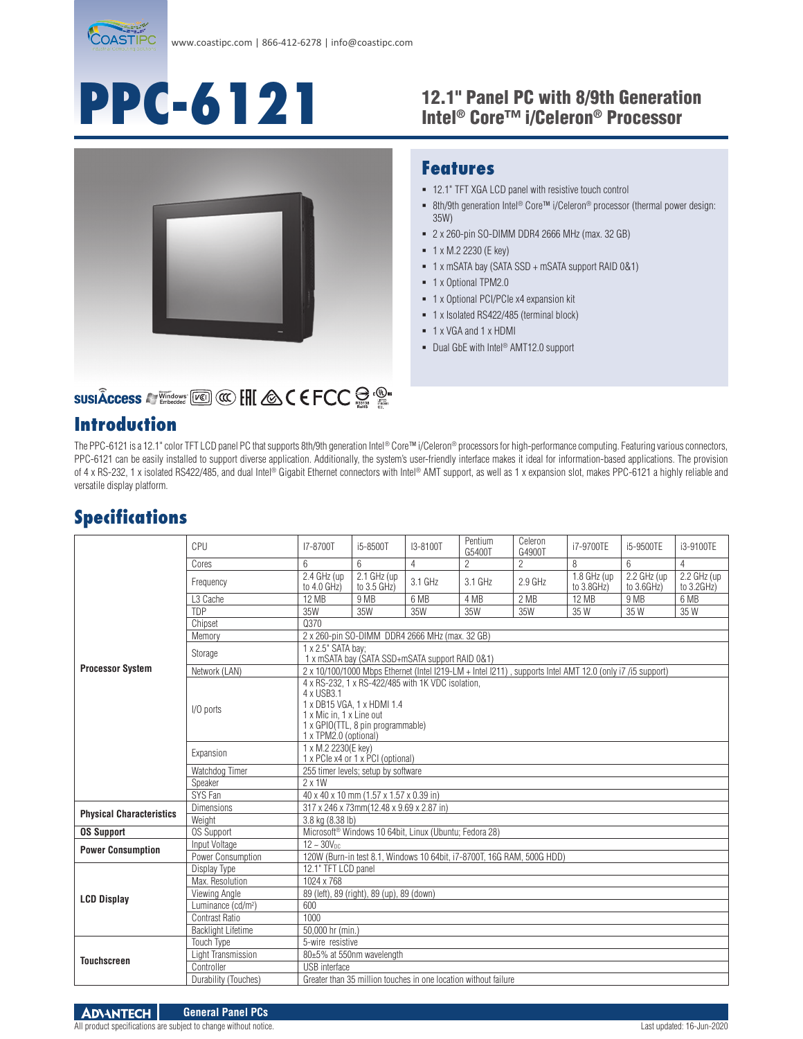

# **PPC-6121**

#### 12.1" Panel PC with 8/9th Generation Intel® Core™ i/Celeron® Processor



#### **Features**

- 12.1" TFT XGA LCD panel with resistive touch control
- 8th/9th generation Intel® Core™ i/Celeron® processor (thermal power design: 35W)
- 2 x 260-pin SO-DIMM DDR4 2666 MHz (max. 32 GB)
- $1 x M.2 2230 (E key)$
- 1 x mSATA bay (SATA SSD + mSATA support RAID 0&1)
- <sup>-</sup> 1 x Optional TPM2.0
- 1 x Optional PCI/PCIe x4 expansion kit
- 1 x Isolated RS422/485 (terminal block)
- 1 x VGA and 1 x HDMI
- Dual GbE with Intel<sup>®</sup> AMT12.0 support

# **SUSIÂCCeSS A Windows [Kell] @ [HI & C E FCC a : @ "**

### **Introduction**

The PPC-6121 is a 12.1" color TFT LCD panel PC that supports 8th/9th generation Intel® Core™ i/Celeron® processors for high-performance computing. Featuring various connectors, PPC-6121 can be easily installed to support diverse application. Additionally, the system's user-friendly interface makes it ideal for information-based applications. The provision of 4 x RS-232, 1 x isolated RS422/485, and dual Intel® Gigabit Ethernet connectors with Intel® AMT support, as well as 1 x expansion slot, makes PPC-6121 a highly reliable and versatile display platform.

## **Specifications**

| <b>Processor System</b>         | CPU                            | I7-8700T                                                                                                                                                                                | i5-8500T                                  | I3-8100T                                                           | Pentium<br>G5400T | Celeron<br>G4900T | i7-9700TE                   | i5-9500TE                 | i3-9100TE                 |  |  |
|---------------------------------|--------------------------------|-----------------------------------------------------------------------------------------------------------------------------------------------------------------------------------------|-------------------------------------------|--------------------------------------------------------------------|-------------------|-------------------|-----------------------------|---------------------------|---------------------------|--|--|
|                                 | Cores                          | 6                                                                                                                                                                                       | 6                                         | $\overline{4}$                                                     | $\overline{2}$    | $\overline{2}$    | 8                           | 6                         | $\overline{4}$            |  |  |
|                                 | Frequency                      | 2.4 GHz (up<br>to 4.0 GHz)                                                                                                                                                              | 2.1 GHz (up<br>to 3.5 GHz)                | 3.1 GHz                                                            | $3.1$ GHz         | $2.9$ GHz         | $1.8$ GHz (up<br>to 3.8GHz) | 2.2 GHz (up<br>to 3.6GHz) | 2.2 GHz (up<br>to 3.2GHz) |  |  |
|                                 | L <sub>3</sub> Cache           | 12 MB                                                                                                                                                                                   | 9 MB                                      | 6 MB                                                               | 4 MB              | 2 MB              | 12 MB                       | 9 MB                      | 6 MB                      |  |  |
|                                 | <b>TDP</b>                     | 35W                                                                                                                                                                                     | 35W                                       | 35W                                                                | 35W               | 35W               | 35 W                        | 35 W                      | 35 W                      |  |  |
|                                 | Chipset                        | 0370                                                                                                                                                                                    |                                           |                                                                    |                   |                   |                             |                           |                           |  |  |
|                                 | Memory                         | 2 x 260-pin SO-DIMM DDR4 2666 MHz (max. 32 GB)                                                                                                                                          |                                           |                                                                    |                   |                   |                             |                           |                           |  |  |
|                                 | Storage                        | 1 x 2.5" SATA bay;<br>1 x mSATA bay (SATA SSD+mSATA support RAID 0&1)                                                                                                                   |                                           |                                                                    |                   |                   |                             |                           |                           |  |  |
|                                 | Network (LAN)                  | 2 x 10/100/1000 Mbps Ethernet (Intel I219-LM + Intel I211), supports Intel AMT 12.0 (only i7 /i5 support)                                                                               |                                           |                                                                    |                   |                   |                             |                           |                           |  |  |
|                                 | I/O ports                      | 4 x RS-232, 1 x RS-422/485 with 1K VDC isolation.<br>4 x USB3.1<br>1 x DB15 VGA, 1 x HDMI 1.4<br>1 x Mic in. 1 x Line out<br>1 x GPIO(TTL, 8 pin programmable)<br>1 x TPM2.0 (optional) |                                           |                                                                    |                   |                   |                             |                           |                           |  |  |
|                                 | Expansion                      | 1 x M.2 2230(E key)<br>1 x PCle x4 or 1 x PCI (optional)                                                                                                                                |                                           |                                                                    |                   |                   |                             |                           |                           |  |  |
|                                 | Watchdog Timer                 | 255 timer levels; setup by software                                                                                                                                                     |                                           |                                                                    |                   |                   |                             |                           |                           |  |  |
|                                 | Speaker                        | 2 x 1W                                                                                                                                                                                  |                                           |                                                                    |                   |                   |                             |                           |                           |  |  |
|                                 | SYS Fan                        | 40 x 40 x 10 mm (1.57 x 1.57 x 0.39 in)                                                                                                                                                 |                                           |                                                                    |                   |                   |                             |                           |                           |  |  |
| <b>Physical Characteristics</b> | <b>Dimensions</b>              | 317 x 246 x 73mm(12.48 x 9.69 x 2.87 in)                                                                                                                                                |                                           |                                                                    |                   |                   |                             |                           |                           |  |  |
|                                 | Weight                         | 3.8 kg (8.38 lb)                                                                                                                                                                        |                                           |                                                                    |                   |                   |                             |                           |                           |  |  |
| <b>OS Support</b>               | <b>OS Support</b>              |                                                                                                                                                                                         |                                           | Microsoft <sup>®</sup> Windows 10 64bit, Linux (Ubuntu; Fedora 28) |                   |                   |                             |                           |                           |  |  |
| <b>Power Consumption</b>        | Input Voltage                  | $12 - 30V_{DC}$                                                                                                                                                                         |                                           |                                                                    |                   |                   |                             |                           |                           |  |  |
|                                 | Power Consumption              | 120W (Burn-in test 8.1, Windows 10 64bit, i7-8700T, 16G RAM, 500G HDD)                                                                                                                  |                                           |                                                                    |                   |                   |                             |                           |                           |  |  |
| <b>LCD Display</b>              | Display Type                   | 12.1" TFT LCD panel                                                                                                                                                                     |                                           |                                                                    |                   |                   |                             |                           |                           |  |  |
|                                 | Max. Resolution                | 1024 x 768                                                                                                                                                                              |                                           |                                                                    |                   |                   |                             |                           |                           |  |  |
|                                 | Viewing Angle                  |                                                                                                                                                                                         | 89 (left), 89 (right), 89 (up), 89 (down) |                                                                    |                   |                   |                             |                           |                           |  |  |
|                                 | Luminance (cd/m <sup>2</sup> ) | 600                                                                                                                                                                                     |                                           |                                                                    |                   |                   |                             |                           |                           |  |  |
|                                 | <b>Contrast Ratio</b>          | 1000                                                                                                                                                                                    |                                           |                                                                    |                   |                   |                             |                           |                           |  |  |
|                                 | <b>Backlight Lifetime</b>      | 50,000 hr (min.)                                                                                                                                                                        |                                           |                                                                    |                   |                   |                             |                           |                           |  |  |
| <b>Touchscreen</b>              | <b>Touch Type</b>              | 5-wire resistive                                                                                                                                                                        |                                           |                                                                    |                   |                   |                             |                           |                           |  |  |
|                                 | Light Transmission             | 80±5% at 550nm wavelength                                                                                                                                                               |                                           |                                                                    |                   |                   |                             |                           |                           |  |  |
|                                 | Controller                     | <b>USB</b> interface                                                                                                                                                                    |                                           |                                                                    |                   |                   |                             |                           |                           |  |  |
|                                 | Durability (Touches)           | Greater than 35 million touches in one location without failure                                                                                                                         |                                           |                                                                    |                   |                   |                             |                           |                           |  |  |